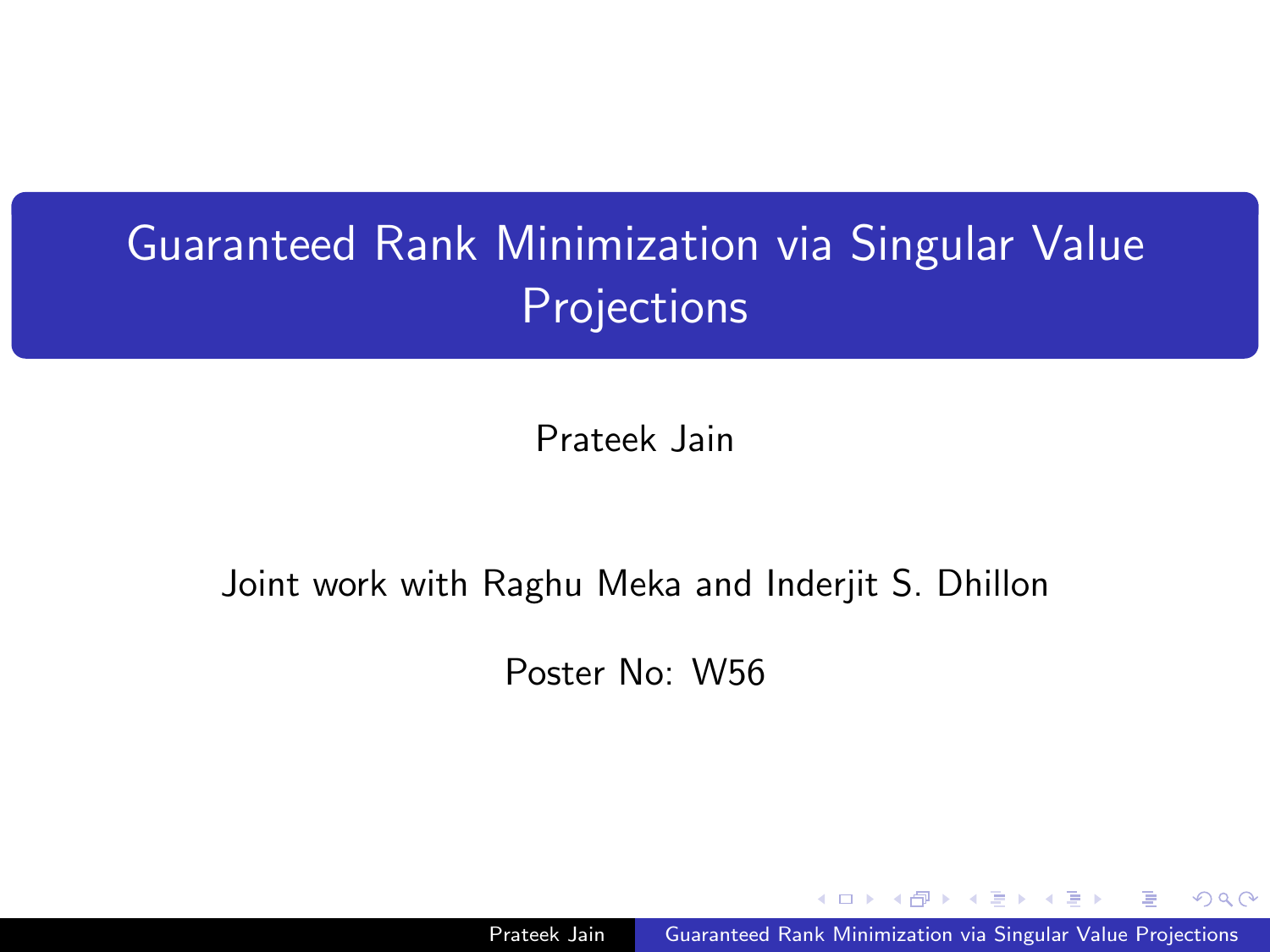# Guaranteed Rank Minimization via Singular Value **Projections**

Prateek Jain

#### Joint work with Raghu Meka and Inderjit S. Dhillon

Poster No: W56

Prateek Jain Guaranteed Rank Minimization via Singular Value Projections

- 4 国 米 3

つくい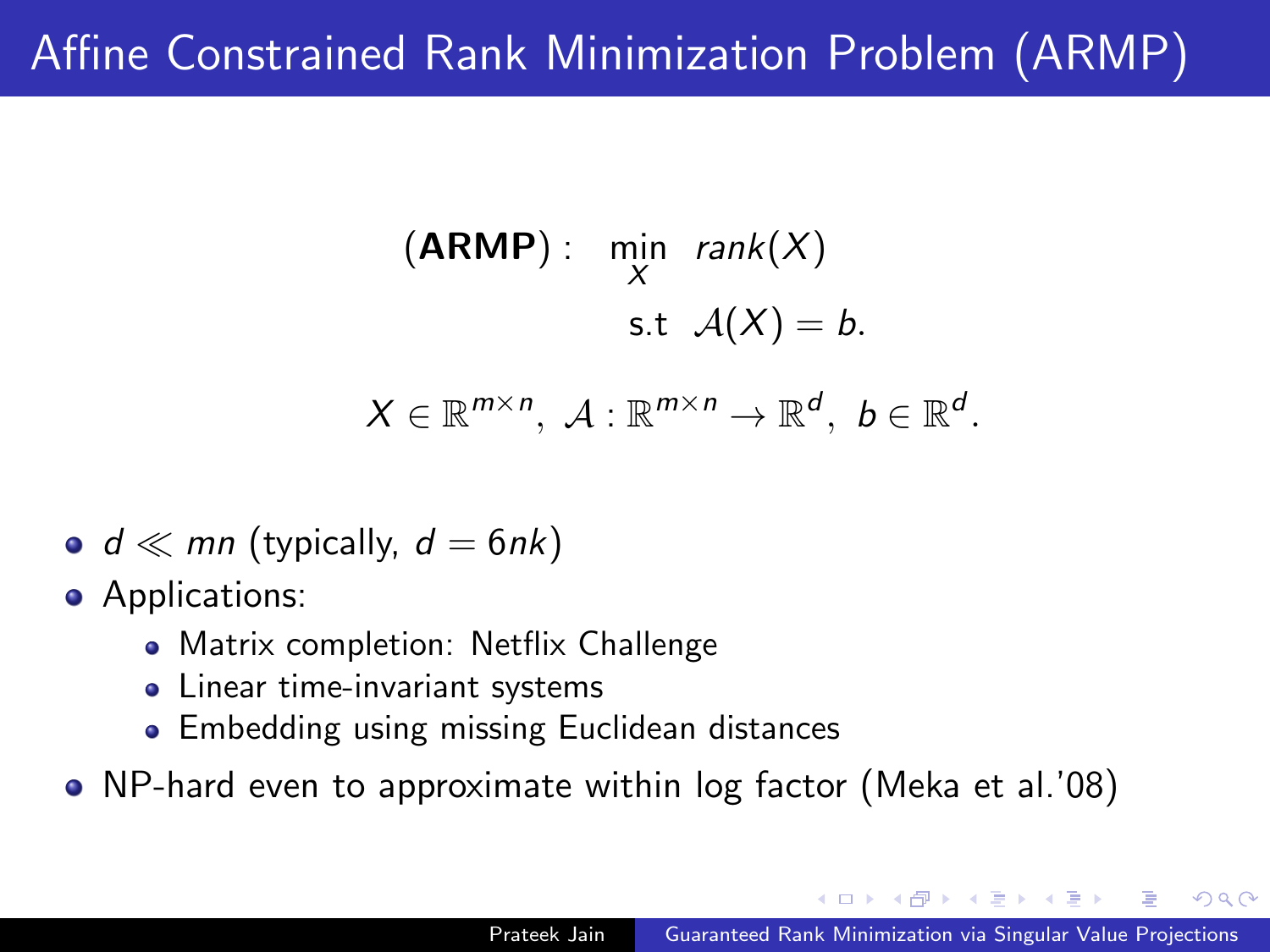## Affine Constrained Rank Minimization Problem (ARMP)

$$
(\mathbf{ARMP}): \quad \min_{X} \quad \text{rank}(X)
$$
\n
$$
\text{s.t } \mathcal{A}(X) = b.
$$
\n
$$
X \in \mathbb{R}^{m \times n}, \ \mathcal{A} : \mathbb{R}^{m \times n} \to \mathbb{R}^{d}, \ b \in \mathbb{R}^{d}.
$$

• 
$$
d \ll mn
$$
 (typically,  $d = 6nk$ )

**•** Applications:

- Matrix completion: Netflix Challenge
- Linear time-invariant systems
- **Embedding using missing Euclidean distances**
- NP-hard even to approximate within log factor (Meka et al.'08)

 $\Omega$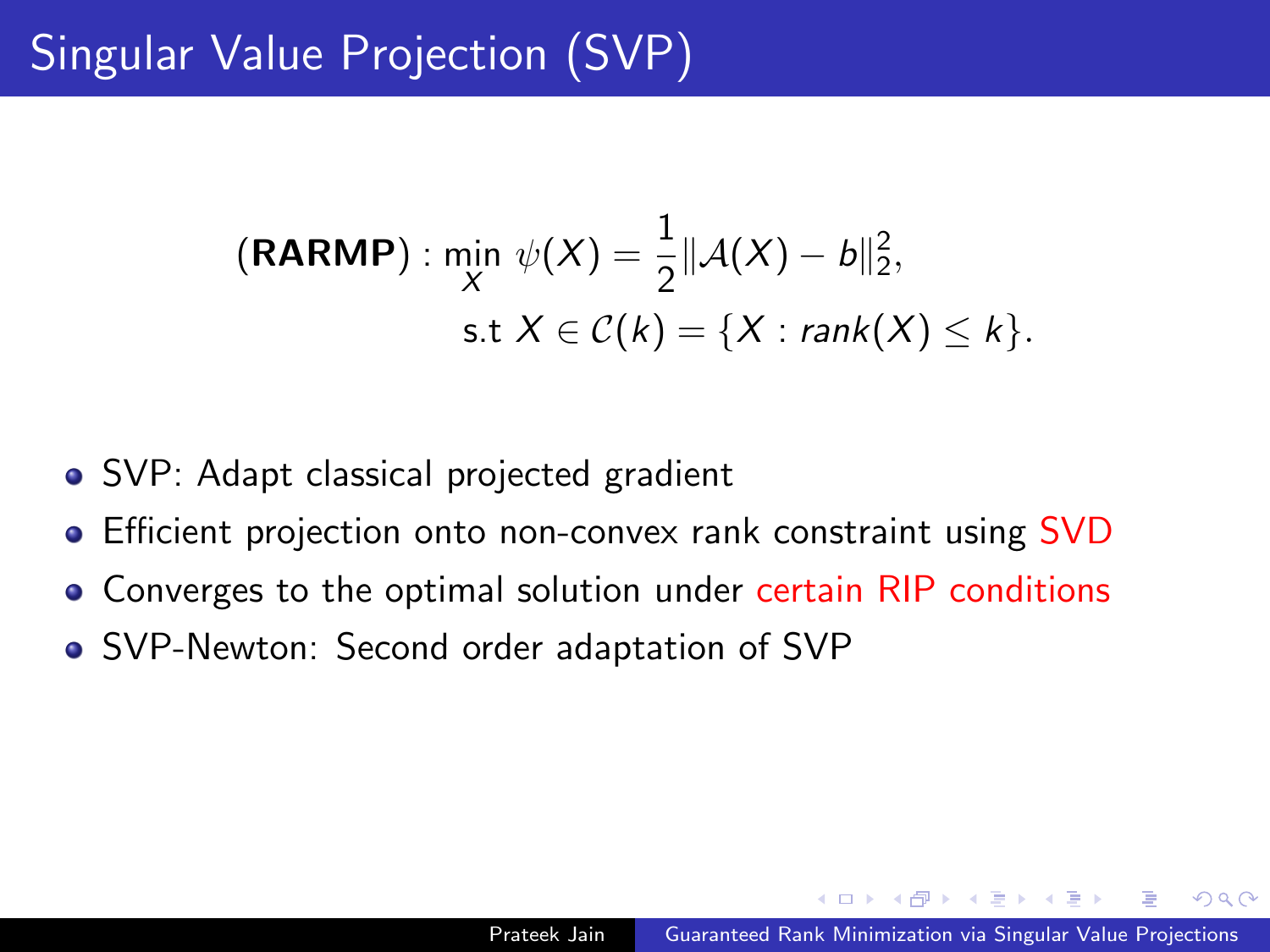## Singular Value Projection (SVP)

$$
(\text{RARMP}) : \min_{X} \psi(X) = \frac{1}{2} ||\mathcal{A}(X) - b||_2^2, \\ \text{s.t } X \in \mathcal{C}(k) = \{X : \text{rank}(X) \leq k\}.
$$

- SVP: Adapt classical projected gradient
- Efficient projection onto non-convex rank constraint using SVD
- Converges to the optimal solution under certain RIP conditions
- SVP-Newton: Second order adaptation of SVP

 $\Omega$